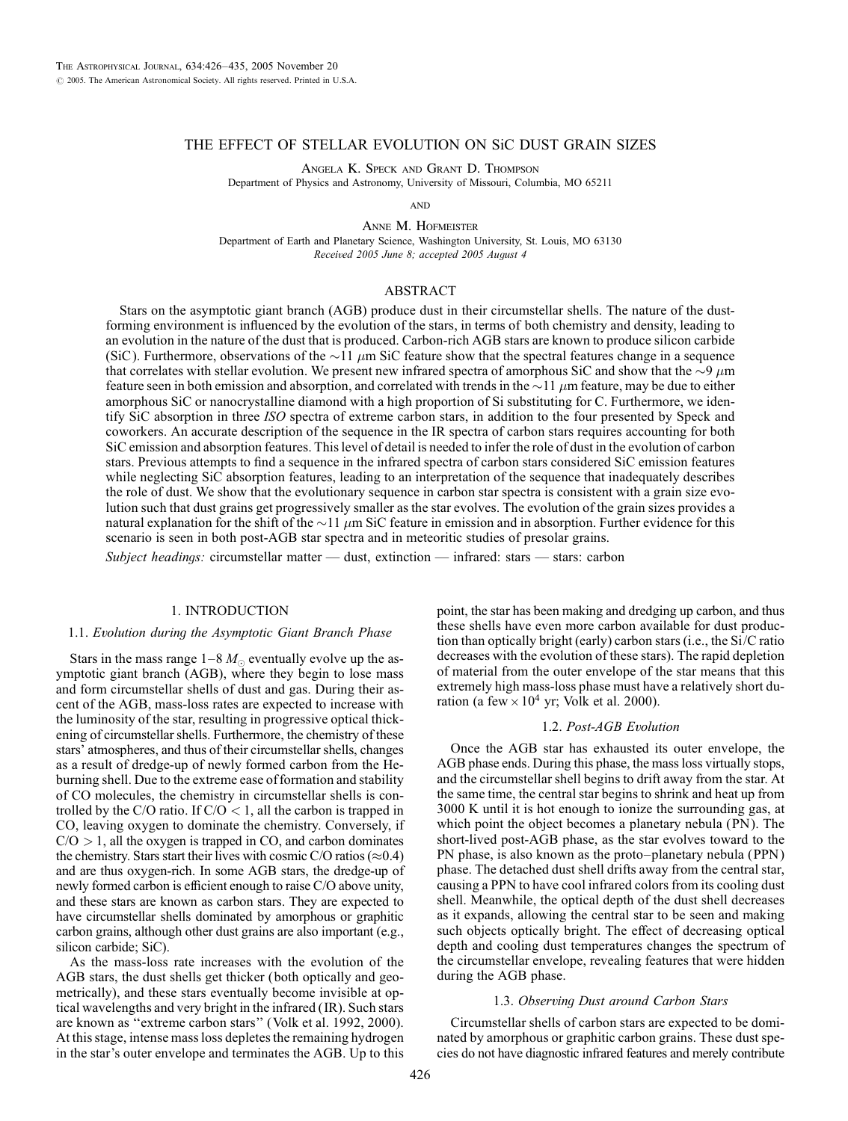### THE EFFECT OF STELLAR EVOLUTION ON SiC DUST GRAIN SIZES

Angela K. Speck and Grant D. Thompson Department of Physics and Astronomy, University of Missouri, Columbia, MO 65211

**AND** 

Anne M. Hofmeister Department of Earth and Planetary Science, Washington University, St. Louis, MO 63130 Received 2005 June 8; accepted 2005 August 4

## ABSTRACT

Stars on the asymptotic giant branch (AGB) produce dust in their circumstellar shells. The nature of the dustforming environment is influenced by the evolution of the stars, in terms of both chemistry and density, leading to an evolution in the nature of the dust that is produced. Carbon-rich AGB stars are known to produce silicon carbide (SiC). Furthermore, observations of the  $\sim$ 11  $\mu$ m SiC feature show that the spectral features change in a sequence that correlates with stellar evolution. We present new infrared spectra of amorphous SiC and show that the  $\sim$ 9  $\mu$ m feature seen in both emission and absorption, and correlated with trends in the  $\sim$ 11  $\mu$ m feature, may be due to either amorphous SiC or nanocrystalline diamond with a high proportion of Si substituting for C. Furthermore, we identify SiC absorption in three ISO spectra of extreme carbon stars, in addition to the four presented by Speck and coworkers. An accurate description of the sequence in the IR spectra of carbon stars requires accounting for both SiC emission and absorption features. This level of detail is needed to infer the role of dust in the evolution of carbon stars. Previous attempts to find a sequence in the infrared spectra of carbon stars considered SiC emission features while neglecting SiC absorption features, leading to an interpretation of the sequence that inadequately describes the role of dust. We show that the evolutionary sequence in carbon star spectra is consistent with a grain size evolution such that dust grains get progressively smaller as the star evolves. The evolution of the grain sizes provides a natural explanation for the shift of the  $\sim$ 11  $\mu$ m SiC feature in emission and in absorption. Further evidence for this scenario is seen in both post-AGB star spectra and in meteoritic studies of presolar grains.

Subject headings: circumstellar matter — dust, extinction — infrared: stars — stars: carbon

## 1. INTRODUCTION

## 1.1. Evolution during the Asymptotic Giant Branch Phase

Stars in the mass range  $1-8 M_{\odot}$  eventually evolve up the asymptotic giant branch (AGB), where they begin to lose mass and form circumstellar shells of dust and gas. During their ascent of the AGB, mass-loss rates are expected to increase with the luminosity of the star, resulting in progressive optical thickening of circumstellar shells. Furthermore, the chemistry of these stars' atmospheres, and thus of their circumstellar shells, changes as a result of dredge-up of newly formed carbon from the Heburning shell. Due to the extreme ease of formation and stability of CO molecules, the chemistry in circumstellar shells is controlled by the C/O ratio. If  $C/O < 1$ , all the carbon is trapped in CO, leaving oxygen to dominate the chemistry. Conversely, if  $C/O > 1$ , all the oxygen is trapped in CO, and carbon dominates the chemistry. Stars start their lives with cosmic C/O ratios ( $\approx 0.4$ ) and are thus oxygen-rich. In some AGB stars, the dredge-up of newly formed carbon is efficient enough to raise C/O above unity, and these stars are known as carbon stars. They are expected to have circumstellar shells dominated by amorphous or graphitic carbon grains, although other dust grains are also important (e.g., silicon carbide; SiC).

As the mass-loss rate increases with the evolution of the AGB stars, the dust shells get thicker (both optically and geometrically), and these stars eventually become invisible at optical wavelengths and very bright in the infrared ( IR). Such stars are known as ''extreme carbon stars'' (Volk et al. 1992, 2000). At this stage, intense mass loss depletes the remaining hydrogen in the star's outer envelope and terminates the AGB. Up to this

point, the star has been making and dredging up carbon, and thus these shells have even more carbon available for dust production than optically bright (early) carbon stars (i.e., the Si/C ratio decreases with the evolution of these stars). The rapid depletion of material from the outer envelope of the star means that this extremely high mass-loss phase must have a relatively short duration (a few  $\times 10^4$  yr; Volk et al. 2000).

# 1.2. Post-AGB Evolution

Once the AGB star has exhausted its outer envelope, the AGB phase ends. During this phase, the mass loss virtually stops, and the circumstellar shell begins to drift away from the star. At the same time, the central star begins to shrink and heat up from 3000 K until it is hot enough to ionize the surrounding gas, at which point the object becomes a planetary nebula (PN). The short-lived post-AGB phase, as the star evolves toward to the PN phase, is also known as the proto–planetary nebula (PPN ) phase. The detached dust shell drifts away from the central star, causing a PPN to have cool infrared colors from its cooling dust shell. Meanwhile, the optical depth of the dust shell decreases as it expands, allowing the central star to be seen and making such objects optically bright. The effect of decreasing optical depth and cooling dust temperatures changes the spectrum of the circumstellar envelope, revealing features that were hidden during the AGB phase.

### 1.3. Observing Dust around Carbon Stars

Circumstellar shells of carbon stars are expected to be dominated by amorphous or graphitic carbon grains. These dust species do not have diagnostic infrared features and merely contribute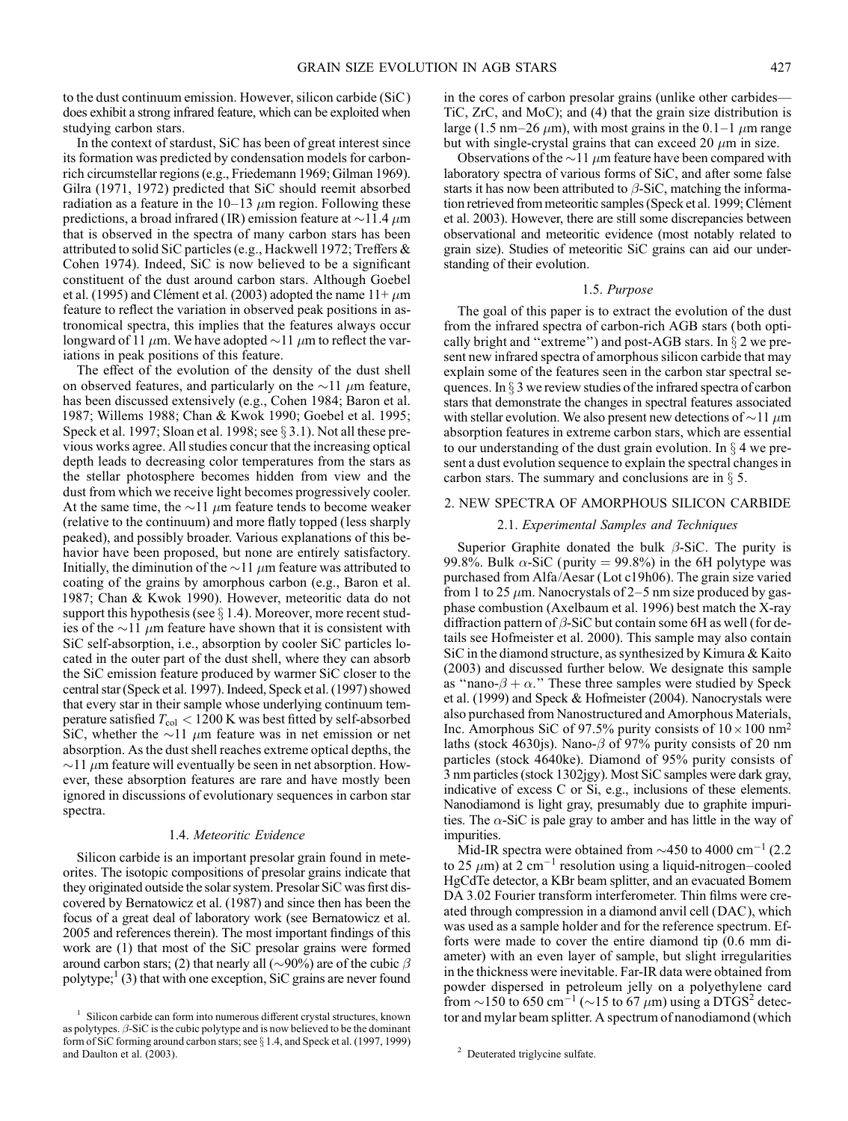to the dust continuum emission. However, silicon carbide (SiC ) does exhibit a strong infrared feature, which can be exploited when studying carbon stars.

In the context of stardust, SiC has been of great interest since its formation was predicted by condensation models for carbonrich circumstellar regions (e.g., Friedemann 1969; Gilman 1969). Gilra (1971, 1972) predicted that SiC should reemit absorbed radiation as a feature in the  $10-13 \mu m$  region. Following these predictions, a broad infrared (IR) emission feature at  $\sim$ 11.4  $\mu$ m that is observed in the spectra of many carbon stars has been attributed to solid SiC particles (e.g., Hackwell 1972; Treffers & Cohen 1974). Indeed, SiC is now believed to be a significant constituent of the dust around carbon stars. Although Goebel et al. (1995) and Clément et al. (2003) adopted the name  $11+\mu m$ feature to reflect the variation in observed peak positions in astronomical spectra, this implies that the features always occur longward of 11  $\mu$ m. We have adopted  $\sim$ 11  $\mu$ m to reflect the variations in peak positions of this feature.

The effect of the evolution of the density of the dust shell on observed features, and particularly on the  $\sim$ 11  $\mu$ m feature, has been discussed extensively (e.g., Cohen 1984; Baron et al. 1987; Willems 1988; Chan & Kwok 1990; Goebel et al. 1995; Speck et al. 1997; Sloan et al. 1998; see  $\S 3.1$ ). Not all these previous works agree. All studies concur that the increasing optical depth leads to decreasing color temperatures from the stars as the stellar photosphere becomes hidden from view and the dust from which we receive light becomes progressively cooler. At the same time, the  $\sim$ 11  $\mu$ m feature tends to become weaker (relative to the continuum) and more flatly topped (less sharply peaked), and possibly broader. Various explanations of this behavior have been proposed, but none are entirely satisfactory. Initially, the diminution of the  $\sim$ 11  $\mu$ m feature was attributed to coating of the grains by amorphous carbon (e.g., Baron et al. 1987; Chan & Kwok 1990). However, meteoritic data do not support this hypothesis (see  $\S 1.4$ ). Moreover, more recent studies of the  $\sim$ 11  $\mu$ m feature have shown that it is consistent with SiC self-absorption, i.e., absorption by cooler SiC particles located in the outer part of the dust shell, where they can absorb the SiC emission feature produced by warmer SiC closer to the central star (Speck et al. 1997). Indeed, Speck et al. (1997) showed that every star in their sample whose underlying continuum temperature satisfied  $T_{\text{col}} < 1200 \text{ K}$  was best fitted by self-absorbed SiC, whether the  $\sim$ 11  $\mu$ m feature was in net emission or net absorption. As the dust shell reaches extreme optical depths, the  $\sim$ 11  $\mu$ m feature will eventually be seen in net absorption. However, these absorption features are rare and have mostly been ignored in discussions of evolutionary sequences in carbon star spectra.

#### 1.4. Meteoritic Evidence

Silicon carbide is an important presolar grain found in meteorites. The isotopic compositions of presolar grains indicate that they originated outside the solar system. Presolar SiC was first discovered by Bernatowicz et al. (1987) and since then has been the focus of a great deal of laboratory work (see Bernatowicz et al. 2005 and references therein). The most important findings of this work are (1) that most of the SiC presolar grains were formed around carbon stars; (2) that nearly all ( $\sim$ 90%) are of the cubic  $\beta$ polytype; $^1(3)$  that with one exception, SiC grains are never found in the cores of carbon presolar grains (unlike other carbides— TiC, ZrC, and MoC); and (4) that the grain size distribution is large (1.5 nm–26  $\mu$ m), with most grains in the 0.1–1  $\mu$ m range but with single-crystal grains that can exceed 20  $\mu$ m in size.

Observations of the  $\sim$ 11  $\mu$ m feature have been compared with laboratory spectra of various forms of SiC, and after some false starts it has now been attributed to  $\beta$ -SiC, matching the information retrieved from meteoritic samples (Speck et al. 1999; Clément et al. 2003). However, there are still some discrepancies between observational and meteoritic evidence (most notably related to grain size). Studies of meteoritic SiC grains can aid our understanding of their evolution.

#### 1.5. Purpose

The goal of this paper is to extract the evolution of the dust from the infrared spectra of carbon-rich AGB stars (both optically bright and "extreme") and post-AGB stars. In  $\S 2$  we present new infrared spectra of amorphous silicon carbide that may explain some of the features seen in the carbon star spectral sequences. In  $\S 3$  we review studies of the infrared spectra of carbon stars that demonstrate the changes in spectral features associated with stellar evolution. We also present new detections of  $\sim$ 11  $\mu$ m absorption features in extreme carbon stars, which are essential to our understanding of the dust grain evolution. In  $\S 4$  we present a dust evolution sequence to explain the spectral changes in carbon stars. The summary and conclusions are in  $\S$  5.

## 2. NEW SPECTRA OF AMORPHOUS SILICON CARBIDE

### 2.1. Experimental Samples and Techniques

Superior Graphite donated the bulk  $\beta$ -SiC. The purity is 99.8%. Bulk  $\alpha$ -SiC (purity = 99.8%) in the 6H polytype was purchased from Alfa/Aesar (Lot c19h06). The grain size varied from 1 to 25  $\mu$ m. Nanocrystals of 2–5 nm size produced by gasphase combustion (Axelbaum et al. 1996) best match the X-ray diffraction pattern of  $\beta$ -SiC but contain some 6H as well (for details see Hofmeister et al. 2000). This sample may also contain SiC in the diamond structure, as synthesized by Kimura & Kaito (2003) and discussed further below. We designate this sample as "nano- $\beta + \alpha$ ." These three samples were studied by Speck et al. (1999) and Speck & Hofmeister (2004). Nanocrystals were also purchased from Nanostructured and Amorphous Materials, Inc. Amorphous SiC of 97.5% purity consists of  $10 \times 100$  nm<sup>2</sup> laths (stock 4630js). Nano- $\beta$  of 97% purity consists of 20 nm particles (stock 4640ke). Diamond of 95% purity consists of 3 nm particles (stock 1302jgy). Most SiC samples were dark gray, indicative of excess C or Si, e.g., inclusions of these elements. Nanodiamond is light gray, presumably due to graphite impurities. The  $\alpha$ -SiC is pale gray to amber and has little in the way of impurities.

Mid-IR spectra were obtained from  $\sim$ 450 to 4000 cm<sup>-1</sup> (2.2) to 25  $\mu$ m) at 2 cm<sup>-1</sup> resolution using a liquid-nitrogen–cooled HgCdTe detector, a KBr beam splitter, and an evacuated Bomem DA 3.02 Fourier transform interferometer. Thin films were created through compression in a diamond anvil cell (DAC), which was used as a sample holder and for the reference spectrum. Efforts were made to cover the entire diamond tip (0.6 mm diameter) with an even layer of sample, but slight irregularities in the thickness were inevitable. Far-IR data were obtained from powder dispersed in petroleum jelly on a polyethylene card from  $\sim$ 150 to 650 cm<sup>-1</sup> ( $\sim$ 15 to 67  $\mu$ m) using a DTGS<sup>2</sup> detec-<sup>1</sup> Silicon carbide can form into numerous different crystal structures, known tor and mylar beam splitter. A spectrum of nanodiamond (which

as polytypes.  $\beta$ -SiC is the cubic polytype and is now believed to be the dominant form of SiC forming around carbon stars; see  $\S 1.4$ , and Speck et al. (1997, 1999) and Daulton et al. (2003).

 $2$  Deuterated triglycine sulfate.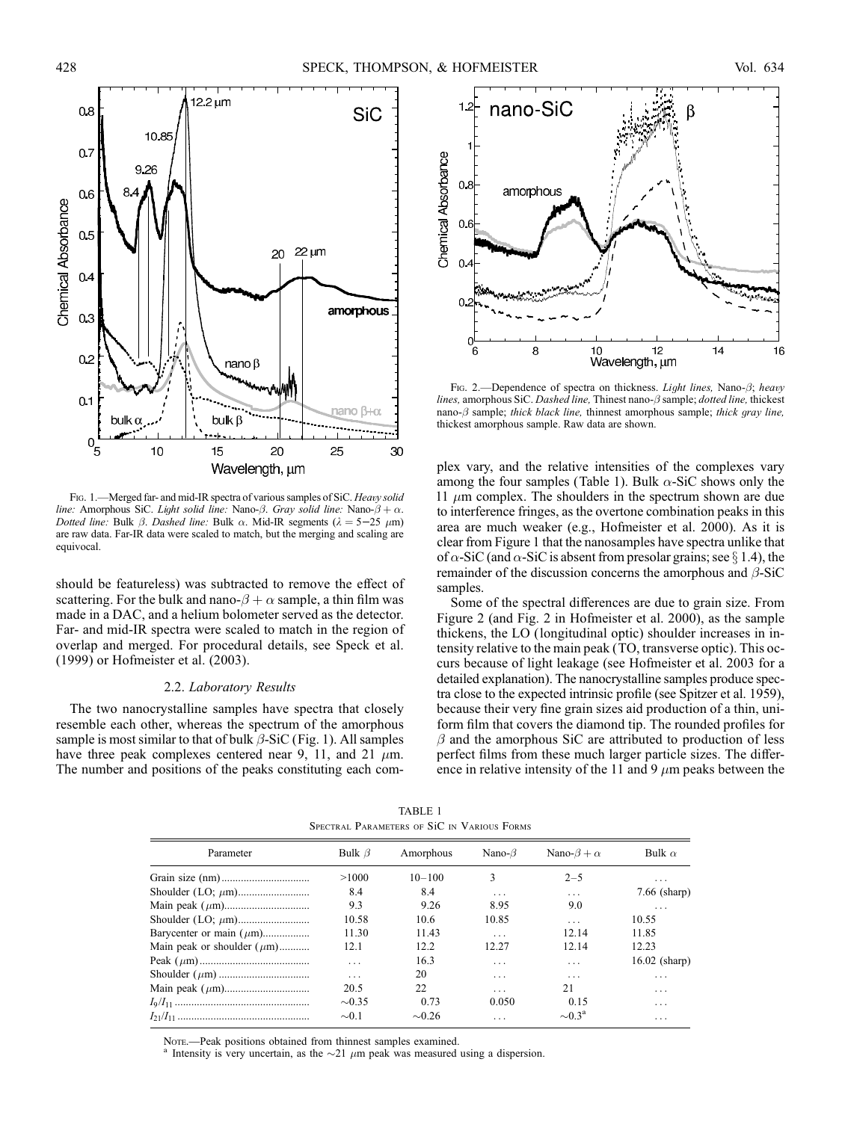

FIG. 1. - Merged far- and mid-IR spectra of various samples of SiC. Heavy solid line: Amorphous SiC. Light solid line: Nano- $\beta$ . Gray solid line: Nano- $\beta + \alpha$ . Dotted line: Bulk  $\beta$ . Dashed line: Bulk  $\alpha$ . Mid-IR segments ( $\lambda = 5-25 \mu m$ ) are raw data. Far-IR data were scaled to match, but the merging and scaling are equivocal.

should be featureless) was subtracted to remove the effect of scattering. For the bulk and nano- $\beta + \alpha$  sample, a thin film was made in a DAC, and a helium bolometer served as the detector. Far- and mid-IR spectra were scaled to match in the region of overlap and merged. For procedural details, see Speck et al. (1999) or Hofmeister et al. (2003).

### 2.2. Laboratory Results

The two nanocrystalline samples have spectra that closely resemble each other, whereas the spectrum of the amorphous sample is most similar to that of bulk  $\beta$ -SiC (Fig. 1). All samples have three peak complexes centered near 9, 11, and 21  $\mu$ m. The number and positions of the peaks constituting each com-



FIG. 2.-Dependence of spectra on thickness. Light lines, Nano- $\beta$ ; heavy lines, amorphous SiC. Dashed line, Thinest nano- $\beta$  sample; dotted line, thickest nano- $\beta$  sample; thick black line, thinnest amorphous sample; thick gray line, thickest amorphous sample. Raw data are shown.

plex vary, and the relative intensities of the complexes vary among the four samples (Table 1). Bulk  $\alpha$ -SiC shows only the 11  $\mu$ m complex. The shoulders in the spectrum shown are due to interference fringes, as the overtone combination peaks in this area are much weaker (e.g., Hofmeister et al. 2000). As it is clear from Figure 1 that the nanosamples have spectra unlike that of  $\alpha$ -SiC (and  $\alpha$ -SiC is absent from presolar grains; see § 1.4), the remainder of the discussion concerns the amorphous and  $\beta$ -SiC samples.

Some of the spectral differences are due to grain size. From Figure 2 (and Fig. 2 in Hofmeister et al. 2000), as the sample thickens, the LO (longitudinal optic) shoulder increases in intensity relative to the main peak (TO, transverse optic). This occurs because of light leakage (see Hofmeister et al. 2003 for a detailed explanation). The nanocrystalline samples produce spectra close to the expected intrinsic profile (see Spitzer et al. 1959), because their very fine grain sizes aid production of a thin, uniform film that covers the diamond tip. The rounded profiles for  $\beta$  and the amorphous SiC are attributed to production of less perfect films from these much larger particle sizes. The difference in relative intensity of the 11 and 9  $\mu$ m peaks between the

| Parameter                       | Bulk $\beta$ | Amorphous   | Nano- $\beta$           | Nano- $\beta + \alpha$ | Bulk $\alpha$   |
|---------------------------------|--------------|-------------|-------------------------|------------------------|-----------------|
|                                 | >1000        | $10 - 100$  | 3                       | $2 - 5$                | $\cdots$        |
|                                 | 8.4          | 8.4         | $\cdot$                 | .                      | $7.66$ (sharp)  |
|                                 | 9.3          | 9.26        | 8.95                    | 9.0                    | .               |
|                                 | 10.58        | 10.6        | 10.85                   | .                      | 10.55           |
| Barycenter or main $(\mu m)$    | 11.30        | 11.43       | .                       | 12.14                  | 11.85           |
| Main peak or shoulder $(\mu m)$ | 12.1         | 12.2        | 12.27                   | 12.14                  | 12.23           |
|                                 | .            | 16.3        | $\cdots$                | $\cdots$               | $16.02$ (sharp) |
|                                 | .            | 20          | .                       | .                      | .               |
|                                 | 20.5         | 22          | $\cdot$ $\cdot$ $\cdot$ | 21                     | .               |
|                                 | $\sim 0.35$  | 0.73        | 0.050                   | 0.15                   | .               |
|                                 | $\sim 0.1$   | $\sim 0.26$ | .                       | $\sim 0.3^{\rm a}$     | .               |

TABLE 1 Spectral Parameters of SiC in Various Forms

Note.—Peak positions obtained from thinnest samples examined.<br><sup>a</sup> Intensity is very uncertain, as the  $\sim$ 21  $\mu$ m peak was measured using a dispersion.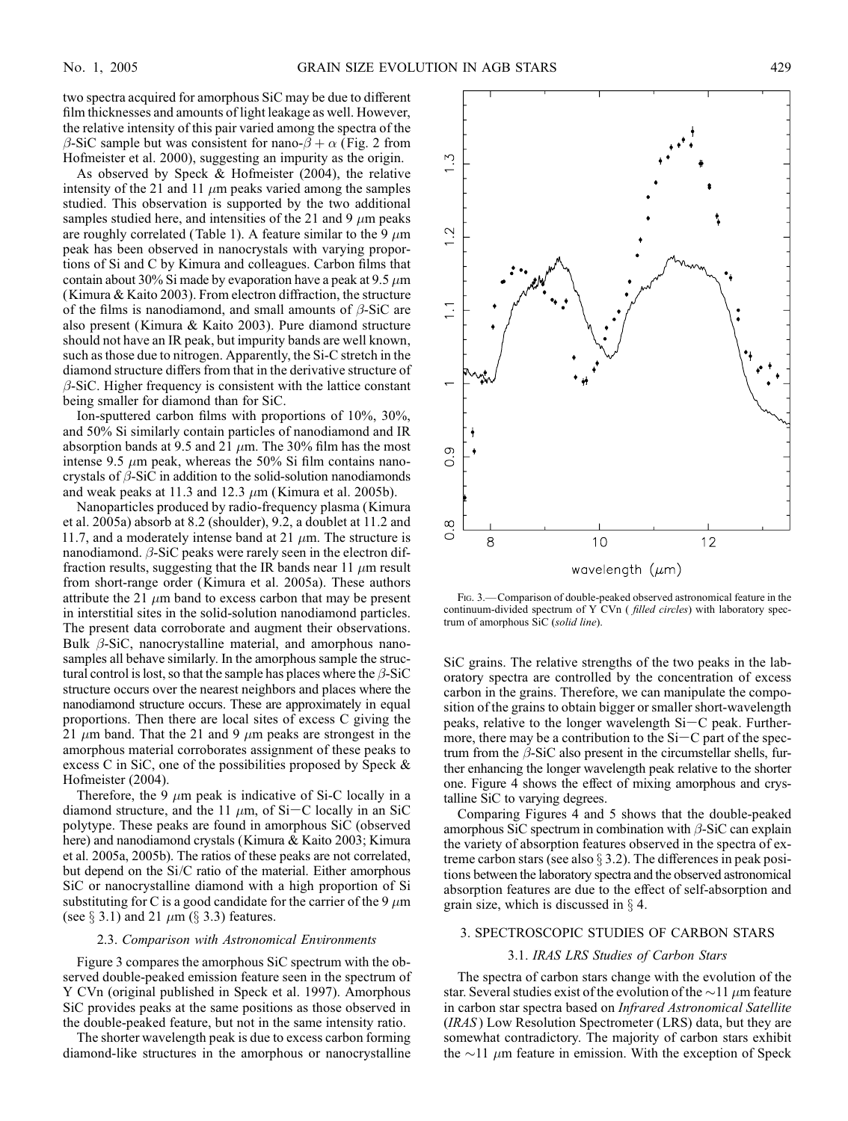two spectra acquired for amorphous SiC may be due to different film thicknesses and amounts of light leakage as well. However, the relative intensity of this pair varied among the spectra of the  $\beta$ -SiC sample but was consistent for nano- $\beta + \alpha$  (Fig. 2 from Hofmeister et al. 2000), suggesting an impurity as the origin.

As observed by Speck & Hofmeister (2004), the relative intensity of the 21 and 11  $\mu$ m peaks varied among the samples studied. This observation is supported by the two additional samples studied here, and intensities of the 21 and 9  $\mu$ m peaks are roughly correlated (Table 1). A feature similar to the 9  $\mu$ m peak has been observed in nanocrystals with varying proportions of Si and C by Kimura and colleagues. Carbon films that contain about 30% Si made by evaporation have a peak at 9.5  $\mu$ m (Kimura & Kaito 2003). From electron diffraction, the structure of the films is nanodiamond, and small amounts of  $\beta$ -SiC are also present (Kimura & Kaito 2003). Pure diamond structure should not have an IR peak, but impurity bands are well known, such as those due to nitrogen. Apparently, the Si-C stretch in the diamond structure differs from that in the derivative structure of  $\beta$ -SiC. Higher frequency is consistent with the lattice constant being smaller for diamond than for SiC.

Ion-sputtered carbon films with proportions of 10%, 30%, and 50% Si similarly contain particles of nanodiamond and IR absorption bands at 9.5 and 21  $\mu$ m. The 30% film has the most intense 9.5  $\mu$ m peak, whereas the 50% Si film contains nanocrystals of  $\beta$ -SiC in addition to the solid-solution nanodiamonds and weak peaks at 11.3 and 12.3  $\mu$ m (Kimura et al. 2005b).

Nanoparticles produced by radio-frequency plasma (Kimura et al. 2005a) absorb at 8.2 (shoulder), 9.2, a doublet at 11.2 and 11.7, and a moderately intense band at 21  $\mu$ m. The structure is nanodiamond.  $\beta$ -SiC peaks were rarely seen in the electron diffraction results, suggesting that the IR bands near 11  $\mu$ m result from short-range order (Kimura et al. 2005a). These authors attribute the 21  $\mu$ m band to excess carbon that may be present in interstitial sites in the solid-solution nanodiamond particles. The present data corroborate and augment their observations. Bulk  $\beta$ -SiC, nanocrystalline material, and amorphous nanosamples all behave similarly. In the amorphous sample the structural control is lost, so that the sample has places where the  $\beta$ -SiC structure occurs over the nearest neighbors and places where the nanodiamond structure occurs. These are approximately in equal proportions. Then there are local sites of excess C giving the 21  $\mu$ m band. That the 21 and 9  $\mu$ m peaks are strongest in the amorphous material corroborates assignment of these peaks to excess C in SiC, one of the possibilities proposed by Speck & Hofmeister (2004).

Therefore, the 9  $\mu$ m peak is indicative of Si-C locally in a diamond structure, and the 11  $\mu$ m, of Si-C locally in an SiC polytype. These peaks are found in amorphous SiC (observed here) and nanodiamond crystals (Kimura & Kaito 2003; Kimura et al. 2005a, 2005b). The ratios of these peaks are not correlated, but depend on the Si/C ratio of the material. Either amorphous SiC or nanocrystalline diamond with a high proportion of Si substituting for C is a good candidate for the carrier of the 9  $\mu$ m (see  $\S$  3.1) and 21  $\mu$ m ( $\S$  3.3) features.

#### 2.3. Comparison with Astronomical Environments

Figure 3 compares the amorphous SiC spectrum with the observed double-peaked emission feature seen in the spectrum of Y CVn (original published in Speck et al. 1997). Amorphous SiC provides peaks at the same positions as those observed in the double-peaked feature, but not in the same intensity ratio.

The shorter wavelength peak is due to excess carbon forming diamond-like structures in the amorphous or nanocrystalline



Fig. 3.—Comparison of double-peaked observed astronomical feature in the continuum-divided spectrum of Y CVn (*filled circles*) with laboratory spectrum of amorphous SiC (solid line).

SiC grains. The relative strengths of the two peaks in the laboratory spectra are controlled by the concentration of excess carbon in the grains. Therefore, we can manipulate the composition of the grains to obtain bigger or smaller short-wavelength peaks, relative to the longer wavelength  $Si-C$  peak. Furthermore, there may be a contribution to the  $Si-C$  part of the spectrum from the  $\beta$ -SiC also present in the circumstellar shells, further enhancing the longer wavelength peak relative to the shorter one. Figure 4 shows the effect of mixing amorphous and crystalline SiC to varying degrees.

Comparing Figures 4 and 5 shows that the double-peaked amorphous SiC spectrum in combination with  $\beta$ -SiC can explain the variety of absorption features observed in the spectra of extreme carbon stars (see also  $\S 3.2$ ). The differences in peak positions between the laboratory spectra and the observed astronomical absorption features are due to the effect of self-absorption and grain size, which is discussed in  $\S$  4.

### 3. SPECTROSCOPIC STUDIES OF CARBON STARS

### 3.1. IRAS LRS Studies of Carbon Stars

The spectra of carbon stars change with the evolution of the star. Several studies exist of the evolution of the  $\sim$ 11  $\mu$ m feature in carbon star spectra based on Infrared Astronomical Satellite  $(IRAS)$  Low Resolution Spectrometer (LRS) data, but they are somewhat contradictory. The majority of carbon stars exhibit the  $\sim$ 11  $\mu$ m feature in emission. With the exception of Speck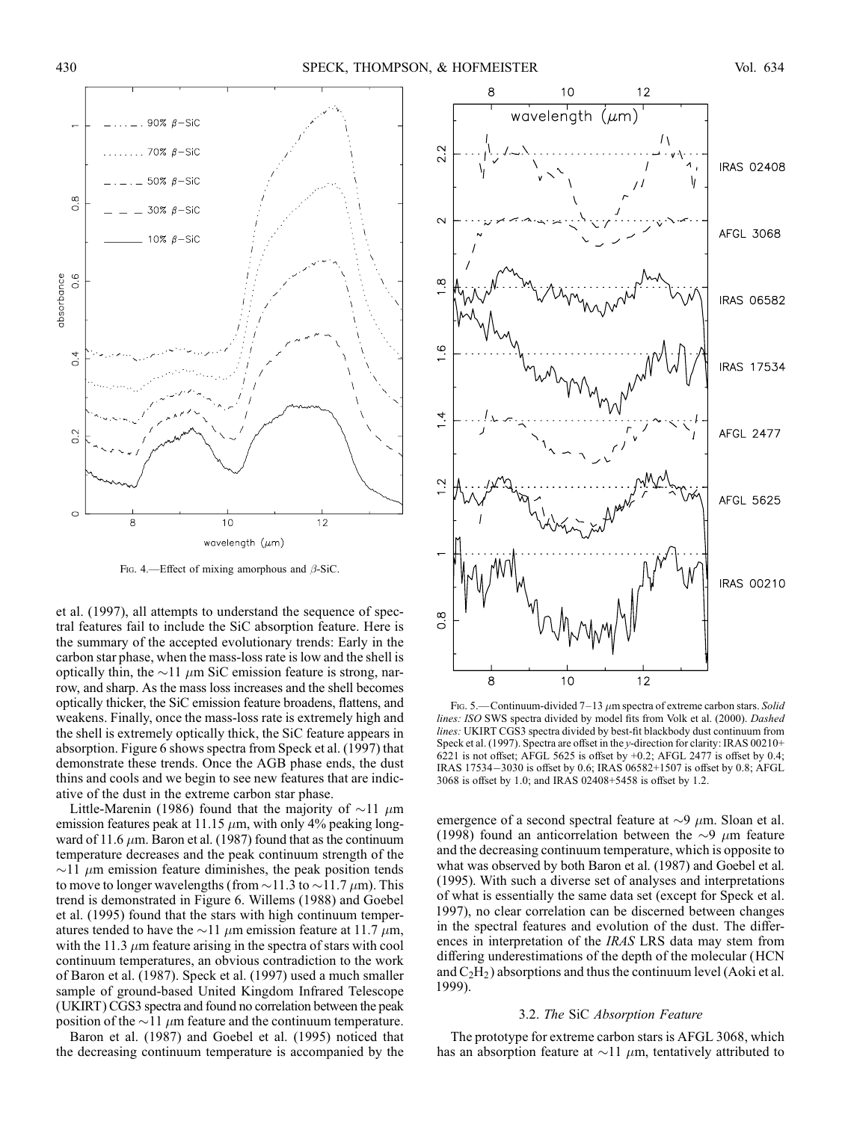

FIG. 4.—Effect of mixing amorphous and  $\beta$ -SiC.

et al. (1997), all attempts to understand the sequence of spectral features fail to include the SiC absorption feature. Here is the summary of the accepted evolutionary trends: Early in the carbon star phase, when the mass-loss rate is low and the shell is optically thin, the  $\sim$ 11  $\mu$ m SiC emission feature is strong, narrow, and sharp. As the mass loss increases and the shell becomes optically thicker, the SiC emission feature broadens, flattens, and weakens. Finally, once the mass-loss rate is extremely high and the shell is extremely optically thick, the SiC feature appears in absorption. Figure 6 shows spectra from Speck et al. (1997) that demonstrate these trends. Once the AGB phase ends, the dust thins and cools and we begin to see new features that are indicative of the dust in the extreme carbon star phase.

Little-Marenin (1986) found that the majority of  $\sim$ 11  $\mu$ m emission features peak at 11.15  $\mu$ m, with only 4% peaking longward of 11.6  $\mu$ m. Baron et al. (1987) found that as the continuum temperature decreases and the peak continuum strength of the  $\sim$ 11  $\mu$ m emission feature diminishes, the peak position tends to move to longer wavelengths (from  $\sim$ 11.3 to  $\sim$ 11.7  $\mu$ m). This trend is demonstrated in Figure 6. Willems (1988) and Goebel et al. (1995) found that the stars with high continuum temperatures tended to have the  $\sim$ 11  $\mu$ m emission feature at 11.7  $\mu$ m, with the 11.3  $\mu$ m feature arising in the spectra of stars with cool continuum temperatures, an obvious contradiction to the work of Baron et al. (1987). Speck et al. (1997) used a much smaller sample of ground-based United Kingdom Infrared Telescope (UKIRT) CGS3 spectra and found no correlation between the peak position of the  $\sim$ 11  $\mu$ m feature and the continuum temperature.

Baron et al. (1987) and Goebel et al. (1995) noticed that the decreasing continuum temperature is accompanied by the



Fig. 5.—Continuum-divided  $7-13 \mu$ m spectra of extreme carbon stars. Solid lines: ISO SWS spectra divided by model fits from Volk et al. (2000). Dashed lines: UKIRT CGS3 spectra divided by best-fit blackbody dust continuum from Speck et al. (1997). Spectra are offset in the y-direction for clarity: IRAS 00210+ 6221 is not offset; AFGL 5625 is offset by +0.2; AFGL 2477 is offset by 0.4; IRAS 17534-3030 is offset by 0.6; IRAS 06582+1507 is offset by 0.8; AFGL 3068 is offset by 1.0; and IRAS 02408+5458 is offset by 1.2.

emergence of a second spectral feature at  $\sim$ 9  $\mu$ m. Sloan et al. (1998) found an anticorrelation between the  $\sim$ 9  $\mu$ m feature and the decreasing continuum temperature, which is opposite to what was observed by both Baron et al. (1987) and Goebel et al. (1995). With such a diverse set of analyses and interpretations of what is essentially the same data set (except for Speck et al. 1997), no clear correlation can be discerned between changes in the spectral features and evolution of the dust. The differences in interpretation of the IRAS LRS data may stem from differing underestimations of the depth of the molecular (HCN and  $C_2H_2$ ) absorptions and thus the continuum level (Aoki et al. 1999).

## 3.2. The SiC Absorption Feature

The prototype for extreme carbon stars is AFGL 3068, which has an absorption feature at  $\sim$ 11  $\mu$ m, tentatively attributed to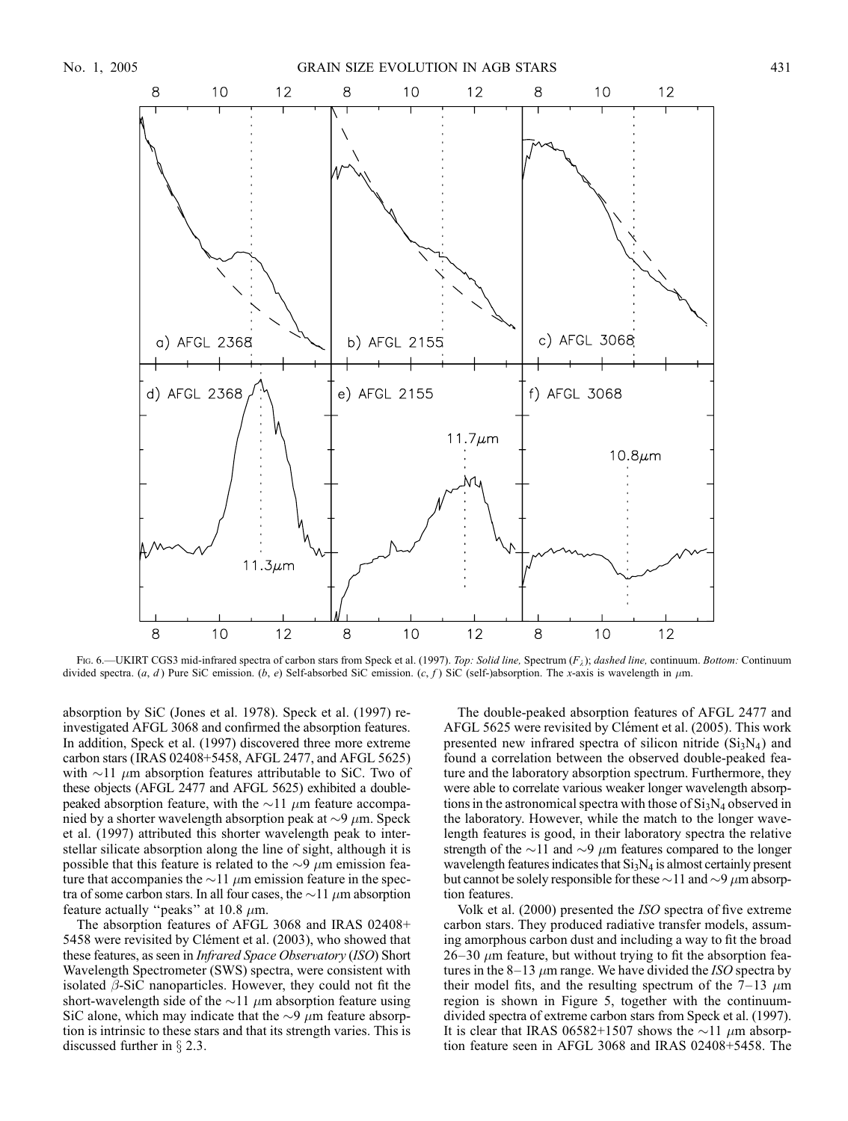

Fig. 6.—UKIRT CGS3 mid-infrared spectra of carbon stars from Speck et al. (1997). Top: Solid line, Spectrum  $(F_{\lambda})$ ; dashed line, continuum. Bottom: Continuum divided spectra. (a, d) Pure SiC emission. (b, e) Self-absorbed SiC emission. (c, f) SiC (self-)absorption. The x-axis is wavelength in  $\mu$ m.

absorption by SiC (Jones et al. 1978). Speck et al. (1997) reinvestigated AFGL 3068 and confirmed the absorption features. In addition, Speck et al. (1997) discovered three more extreme carbon stars (IRAS 02408+5458, AFGL 2477, and AFGL 5625) with  $\sim$ 11  $\mu$ m absorption features attributable to SiC. Two of these objects (AFGL 2477 and AFGL 5625) exhibited a doublepeaked absorption feature, with the  $\sim$ 11  $\mu$ m feature accompanied by a shorter wavelength absorption peak at  $\sim$ 9  $\mu$ m. Speck et al. (1997) attributed this shorter wavelength peak to interstellar silicate absorption along the line of sight, although it is possible that this feature is related to the  $\sim$ 9  $\mu$ m emission feature that accompanies the  $\sim$ 11  $\mu$ m emission feature in the spectra of some carbon stars. In all four cases, the  $\sim$ 11  $\mu$ m absorption feature actually "peaks" at 10.8  $\mu$ m.

The absorption features of AFGL 3068 and IRAS 02408+ 5458 were revisited by Clément et al. (2003), who showed that these features, as seen in Infrared Space Observatory (ISO) Short Wavelength Spectrometer (SWS) spectra, were consistent with isolated  $\beta$ -SiC nanoparticles. However, they could not fit the short-wavelength side of the  $\sim$ 11  $\mu$ m absorption feature using SiC alone, which may indicate that the  $\sim$ 9  $\mu$ m feature absorption is intrinsic to these stars and that its strength varies. This is discussed further in  $\S$  2.3.

The double-peaked absorption features of AFGL 2477 and AFGL 5625 were revisited by Clément et al. (2005). This work presented new infrared spectra of silicon nitride  $(Si<sub>3</sub>N<sub>4</sub>)$  and found a correlation between the observed double-peaked feature and the laboratory absorption spectrum. Furthermore, they were able to correlate various weaker longer wavelength absorptions in the astronomical spectra with those of  $Si<sub>3</sub>N<sub>4</sub>$  observed in the laboratory. However, while the match to the longer wavelength features is good, in their laboratory spectra the relative strength of the  $\sim$ 11 and  $\sim$ 9  $\mu$ m features compared to the longer wavelength features indicates that  $Si<sub>3</sub>N<sub>4</sub>$  is almost certainly present but cannot be solely responsible for these  $\sim$  11 and  $\sim$ 9  $\mu$ m absorption features.

Volk et al. (2000) presented the ISO spectra of five extreme carbon stars. They produced radiative transfer models, assuming amorphous carbon dust and including a way to fit the broad  $26-30 \mu m$  feature, but without trying to fit the absorption features in the 8–13  $\mu$ m range. We have divided the ISO spectra by their model fits, and the resulting spectrum of the  $7-13 \mu m$ region is shown in Figure 5, together with the continuumdivided spectra of extreme carbon stars from Speck et al. (1997). It is clear that IRAS 06582+1507 shows the  $\sim$ 11  $\mu$ m absorption feature seen in AFGL 3068 and IRAS 02408+5458. The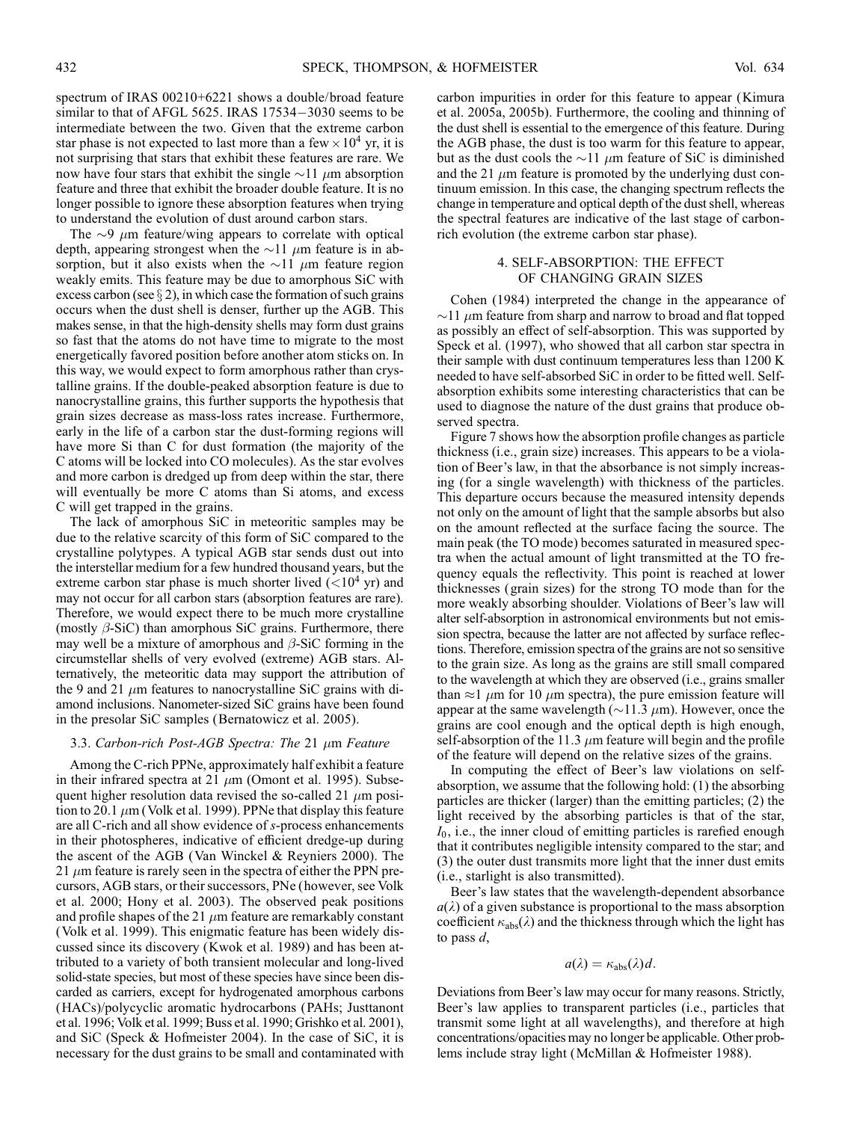spectrum of IRAS 00210+6221 shows a double/broad feature similar to that of AFGL 5625. IRAS 17534-3030 seems to be intermediate between the two. Given that the extreme carbon star phase is not expected to last more than a few  $\times 10^4$  yr, it is not surprising that stars that exhibit these features are rare. We now have four stars that exhibit the single  $\sim$ 11  $\mu$ m absorption feature and three that exhibit the broader double feature. It is no longer possible to ignore these absorption features when trying to understand the evolution of dust around carbon stars.

The  $\sim$ 9  $\mu$ m feature/wing appears to correlate with optical depth, appearing strongest when the  $\sim$ 11  $\mu$ m feature is in absorption, but it also exists when the  $\sim$ 11  $\mu$ m feature region weakly emits. This feature may be due to amorphous SiC with excess carbon (see  $\S 2$ ), in which case the formation of such grains occurs when the dust shell is denser, further up the AGB. This makes sense, in that the high-density shells may form dust grains so fast that the atoms do not have time to migrate to the most energetically favored position before another atom sticks on. In this way, we would expect to form amorphous rather than crystalline grains. If the double-peaked absorption feature is due to nanocrystalline grains, this further supports the hypothesis that grain sizes decrease as mass-loss rates increase. Furthermore, early in the life of a carbon star the dust-forming regions will have more Si than C for dust formation (the majority of the C atoms will be locked into CO molecules). As the star evolves and more carbon is dredged up from deep within the star, there will eventually be more C atoms than Si atoms, and excess C will get trapped in the grains.

The lack of amorphous SiC in meteoritic samples may be due to the relative scarcity of this form of SiC compared to the crystalline polytypes. A typical AGB star sends dust out into the interstellar medium for a few hundred thousand years, but the extreme carbon star phase is much shorter lived  $(<10<sup>4</sup>$  yr) and may not occur for all carbon stars (absorption features are rare). Therefore, we would expect there to be much more crystalline (mostly  $\beta$ -SiC) than amorphous SiC grains. Furthermore, there may well be a mixture of amorphous and  $\beta$ -SiC forming in the circumstellar shells of very evolved (extreme) AGB stars. Alternatively, the meteoritic data may support the attribution of the 9 and 21  $\mu$ m features to nanocrystalline SiC grains with diamond inclusions. Nanometer-sized SiC grains have been found in the presolar SiC samples (Bernatowicz et al. 2005).

#### 3.3. Carbon-rich Post-AGB Spectra: The 21  $\mu$ m Feature

Among the C-rich PPNe, approximately half exhibit a feature in their infrared spectra at 21  $\mu$ m (Omont et al. 1995). Subsequent higher resolution data revised the so-called 21  $\mu$ m position to 20.1  $\mu$ m (Volk et al. 1999). PPNe that display this feature are all C-rich and all show evidence of s-process enhancements in their photospheres, indicative of efficient dredge-up during the ascent of the AGB (Van Winckel & Reyniers 2000). The 21  $\mu$ m feature is rarely seen in the spectra of either the PPN precursors, AGB stars, or their successors, PNe (however, see Volk et al. 2000; Hony et al. 2003). The observed peak positions and profile shapes of the 21  $\mu$ m feature are remarkably constant (Volk et al. 1999). This enigmatic feature has been widely discussed since its discovery (Kwok et al. 1989) and has been attributed to a variety of both transient molecular and long-lived solid-state species, but most of these species have since been discarded as carriers, except for hydrogenated amorphous carbons (HACs)/polycyclic aromatic hydrocarbons (PAHs; Justtanont et al. 1996; Volk et al. 1999; Buss et al. 1990; Grishko et al. 2001), and SiC (Speck & Hofmeister 2004). In the case of SiC, it is necessary for the dust grains to be small and contaminated with

carbon impurities in order for this feature to appear (Kimura et al. 2005a, 2005b). Furthermore, the cooling and thinning of the dust shell is essential to the emergence of this feature. During the AGB phase, the dust is too warm for this feature to appear, but as the dust cools the  $\sim$ 11  $\mu$ m feature of SiC is diminished and the 21  $\mu$ m feature is promoted by the underlying dust continuum emission. In this case, the changing spectrum reflects the change in temperature and optical depth of the dust shell, whereas the spectral features are indicative of the last stage of carbonrich evolution (the extreme carbon star phase).

### 4. SELF-ABSORPTION: THE EFFECT OF CHANGING GRAIN SIZES

Cohen (1984) interpreted the change in the appearance of  $\sim$ 11  $\mu$ m feature from sharp and narrow to broad and flat topped as possibly an effect of self-absorption. This was supported by Speck et al. (1997), who showed that all carbon star spectra in their sample with dust continuum temperatures less than 1200 K needed to have self-absorbed SiC in order to be fitted well. Selfabsorption exhibits some interesting characteristics that can be used to diagnose the nature of the dust grains that produce observed spectra.

Figure 7 shows how the absorption profile changes as particle thickness (i.e., grain size) increases. This appears to be a violation of Beer's law, in that the absorbance is not simply increasing (for a single wavelength) with thickness of the particles. This departure occurs because the measured intensity depends not only on the amount of light that the sample absorbs but also on the amount reflected at the surface facing the source. The main peak (the TO mode) becomes saturated in measured spectra when the actual amount of light transmitted at the TO frequency equals the reflectivity. This point is reached at lower thicknesses (grain sizes) for the strong TO mode than for the more weakly absorbing shoulder. Violations of Beer's law will alter self-absorption in astronomical environments but not emission spectra, because the latter are not affected by surface reflections. Therefore, emission spectra of the grains are not so sensitive to the grain size. As long as the grains are still small compared to the wavelength at which they are observed (i.e., grains smaller than  $\approx$ 1  $\mu$ m for 10  $\mu$ m spectra), the pure emission feature will appear at the same wavelength ( $\sim$ 11.3  $\mu$ m). However, once the grains are cool enough and the optical depth is high enough, self-absorption of the 11.3  $\mu$ m feature will begin and the profile of the feature will depend on the relative sizes of the grains.

In computing the effect of Beer's law violations on selfabsorption, we assume that the following hold: (1) the absorbing particles are thicker (larger) than the emitting particles; (2) the light received by the absorbing particles is that of the star,  $I_0$ , i.e., the inner cloud of emitting particles is rarefied enough that it contributes negligible intensity compared to the star; and (3) the outer dust transmits more light that the inner dust emits (i.e., starlight is also transmitted).

Beer's law states that the wavelength-dependent absorbance  $a(\lambda)$  of a given substance is proportional to the mass absorption coefficient  $\kappa_{\text{abs}}(\lambda)$  and the thickness through which the light has to pass  $d$ ,

$$
a(\lambda) = \kappa_{\text{abs}}(\lambda) d.
$$

Deviations from Beer's law may occur for many reasons. Strictly, Beer's law applies to transparent particles (i.e., particles that transmit some light at all wavelengths), and therefore at high concentrations/opacities may no longer be applicable. Other problems include stray light (McMillan & Hofmeister 1988).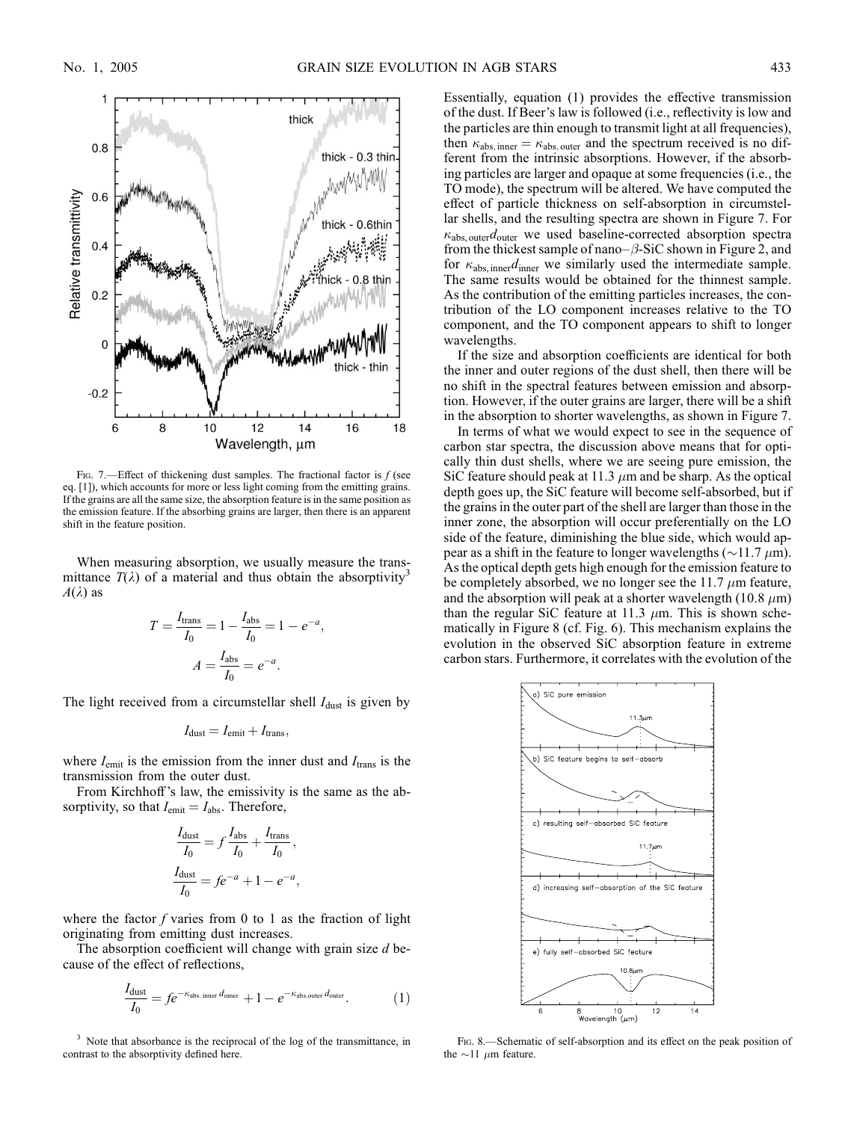

Fig. 7.—Effect of thickening dust samples. The fractional factor is  $f$  (see eq. [1]), which accounts for more or less light coming from the emitting grains. If the grains are all the same size, the absorption feature is in the same position as the emission feature. If the absorbing grains are larger, then there is an apparent shift in the feature position.

When measuring absorption, we usually measure the transmittance  $T(\lambda)$  of a material and thus obtain the absorptivity<sup>3</sup>  $A(\lambda)$  as

$$
T = \frac{I_{\text{trans}}}{I_0} = 1 - \frac{I_{\text{abs}}}{I_0} = 1 - e^{-a},
$$

$$
A = \frac{I_{\text{abs}}}{I_0} = e^{-a}.
$$

The light received from a circumstellar shell  $I_{\text{dust}}$  is given by

$$
I_{\text{dust}} = I_{\text{emit}} + I_{\text{trans}},
$$

where  $I_{\text{emit}}$  is the emission from the inner dust and  $I_{\text{trans}}$  is the transmission from the outer dust.

From Kirchhoff 's law, the emissivity is the same as the absorptivity, so that  $I_{\text{emit}} = I_{\text{abs}}$ . Therefore,

$$
\frac{I_{\text{dust}}}{I_0} = f \frac{I_{\text{abs}}}{I_0} + \frac{I_{\text{trans}}}{I_0},
$$
  

$$
\frac{I_{\text{dust}}}{I_0} = f e^{-a} + 1 - e^{-a},
$$

where the factor f varies from 0 to 1 as the fraction of light originating from emitting dust increases.

The absorption coefficient will change with grain size  $d$  because of the effect of reflections,

$$
\frac{I_{\text{dust}}}{I_0} = f e^{-\kappa_{\text{abs, inner}} d_{\text{inner}}} + 1 - e^{-\kappa_{\text{abs, outer}} d_{\text{outer}}}.
$$
 (1)

<sup>3</sup> Note that absorbance is the reciprocal of the log of the transmittance, in contrast to the absorptivity defined here.

Essentially, equation (1) provides the effective transmission of the dust. If Beer's law is followed (i.e., reflectivity is low and the particles are thin enough to transmit light at all frequencies), then  $\kappa_{\text{abs, inner}} = \kappa_{\text{abs, outer}}$  and the spectrum received is no different from the intrinsic absorptions. However, if the absorbing particles are larger and opaque at some frequencies (i.e., the TO mode), the spectrum will be altered. We have computed the effect of particle thickness on self-absorption in circumstellar shells, and the resulting spectra are shown in Figure 7. For  $\kappa_{\text{abs, outer}}d_{\text{outer}}$  we used baseline-corrected absorption spectra from the thickest sample of nano- $\beta$ -SiC shown in Figure 2, and for  $\kappa_{\text{abs, inner}}d_{\text{inner}}$  we similarly used the intermediate sample. The same results would be obtained for the thinnest sample. As the contribution of the emitting particles increases, the contribution of the LO component increases relative to the TO component, and the TO component appears to shift to longer wavelengths.

If the size and absorption coefficients are identical for both the inner and outer regions of the dust shell, then there will be no shift in the spectral features between emission and absorption. However, if the outer grains are larger, there will be a shift in the absorption to shorter wavelengths, as shown in Figure 7.

In terms of what we would expect to see in the sequence of carbon star spectra, the discussion above means that for optically thin dust shells, where we are seeing pure emission, the SiC feature should peak at 11.3  $\mu$ m and be sharp. As the optical depth goes up, the SiC feature will become self-absorbed, but if the grains in the outer part of the shell are larger than those in the inner zone, the absorption will occur preferentially on the LO side of the feature, diminishing the blue side, which would appear as a shift in the feature to longer wavelengths ( $\sim$ 11.7  $\mu$ m). As the optical depth gets high enough for the emission feature to be completely absorbed, we no longer see the 11.7  $\mu$ m feature, and the absorption will peak at a shorter wavelength (10.8  $\mu$ m) than the regular SiC feature at 11.3  $\mu$ m. This is shown schematically in Figure 8 (cf. Fig. 6). This mechanism explains the evolution in the observed SiC absorption feature in extreme carbon stars. Furthermore, it correlates with the evolution of the



Fig. 8.—Schematic of self-absorption and its effect on the peak position of the  $\sim$ 11  $\mu$ m feature.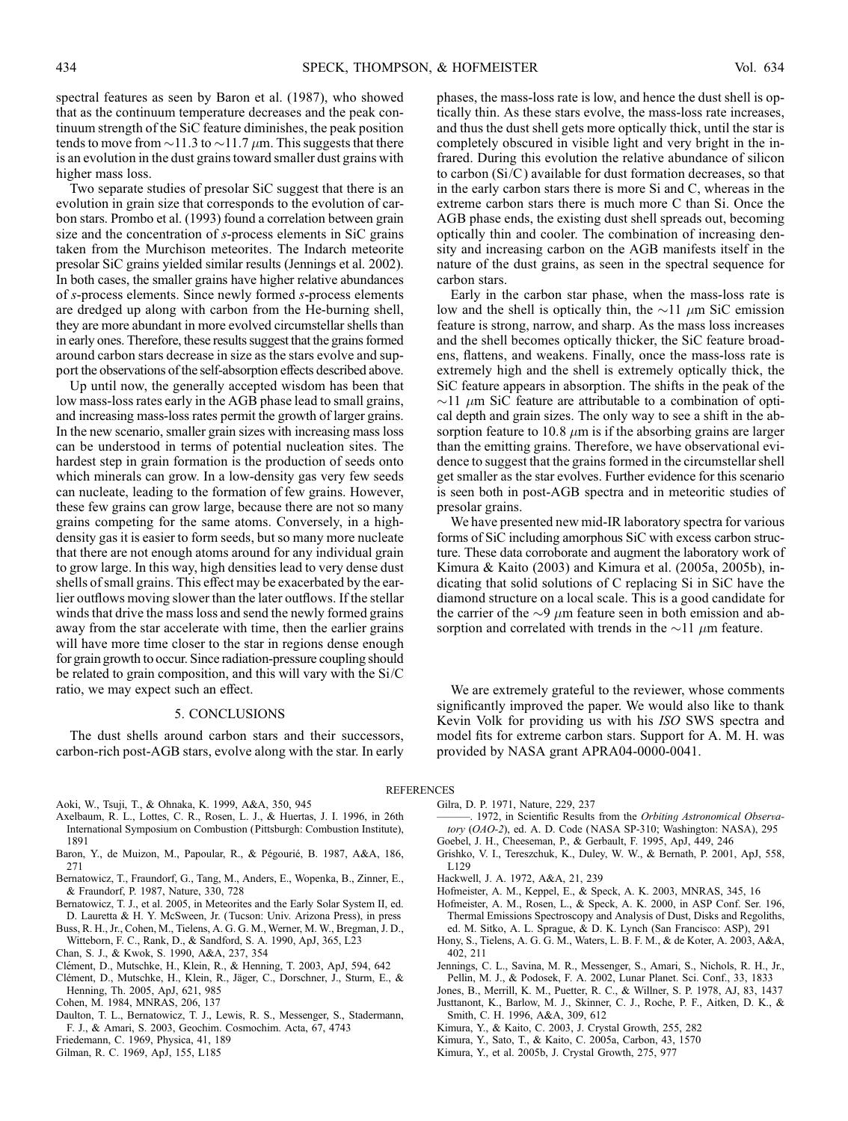spectral features as seen by Baron et al. (1987), who showed that as the continuum temperature decreases and the peak continuum strength of the SiC feature diminishes, the peak position tends to move from  $\sim$ 11.3 to  $\sim$ 11.7  $\mu$ m. This suggests that there is an evolution in the dust grains toward smaller dust grains with higher mass loss.

Two separate studies of presolar SiC suggest that there is an evolution in grain size that corresponds to the evolution of carbon stars. Prombo et al. (1993) found a correlation between grain size and the concentration of s-process elements in SiC grains taken from the Murchison meteorites. The Indarch meteorite presolar SiC grains yielded similar results (Jennings et al. 2002). In both cases, the smaller grains have higher relative abundances of s-process elements. Since newly formed s-process elements are dredged up along with carbon from the He-burning shell, they are more abundant in more evolved circumstellar shells than in early ones. Therefore, these results suggest that the grains formed around carbon stars decrease in size as the stars evolve and support the observations of the self-absorption effects described above.

Up until now, the generally accepted wisdom has been that low mass-loss rates early in the AGB phase lead to small grains, and increasing mass-loss rates permit the growth of larger grains. In the new scenario, smaller grain sizes with increasing mass loss can be understood in terms of potential nucleation sites. The hardest step in grain formation is the production of seeds onto which minerals can grow. In a low-density gas very few seeds can nucleate, leading to the formation of few grains. However, these few grains can grow large, because there are not so many grains competing for the same atoms. Conversely, in a highdensity gas it is easier to form seeds, but so many more nucleate that there are not enough atoms around for any individual grain to grow large. In this way, high densities lead to very dense dust shells of small grains. This effect may be exacerbated by the earlier outflows moving slower than the later outflows. If the stellar winds that drive the mass loss and send the newly formed grains away from the star accelerate with time, then the earlier grains will have more time closer to the star in regions dense enough for grain growth to occur. Since radiation-pressure coupling should be related to grain composition, and this will vary with the Si/C ratio, we may expect such an effect.

#### 5. CONCLUSIONS

The dust shells around carbon stars and their successors, carbon-rich post-AGB stars, evolve along with the star. In early

Aoki, W., Tsuji, T., & Ohnaka, K. 1999, A&A, 350, 945

- Axelbaum, R. L., Lottes, C. R., Rosen, L. J., & Huertas, J. I. 1996, in 26th International Symposium on Combustion (Pittsburgh: Combustion Institute), 1891
- Baron, Y., de Muizon, M., Papoular, R., & Pégourié, B. 1987, A&A, 186, 271
- Bernatowicz, T., Fraundorf, G., Tang, M., Anders, E., Wopenka, B., Zinner, E., & Fraundorf, P. 1987, Nature, 330, 728
- Bernatowicz, T. J., et al. 2005, in Meteorites and the Early Solar System II, ed. D. Lauretta & H. Y. McSween, Jr. (Tucson: Univ. Arizona Press), in press
- Buss, R. H., Jr., Cohen, M., Tielens, A. G. G. M., Werner, M. W., Bregman, J. D., Witteborn, F. C., Rank, D., & Sandford, S. A. 1990, ApJ, 365, L23
- Chan, S. J., & Kwok, S. 1990, A&A, 237, 354
- Clément, D., Mutschke, H., Klein, R., & Henning, T. 2003, ApJ, 594, 642
- Clément, D., Mutschke, H., Klein, R., Jäger, C., Dorschner, J., Sturm, E., & Henning, Th. 2005, ApJ, 621, 985
- Cohen, M. 1984, MNRAS, 206, 137
- Daulton, T. L., Bernatowicz, T. J., Lewis, R. S., Messenger, S., Stadermann, F. J., & Amari, S. 2003, Geochim. Cosmochim. Acta, 67, 4743
- Friedemann, C. 1969, Physica, 41, 189
- Gilman, R. C. 1969, ApJ, 155, L185

phases, the mass-loss rate is low, and hence the dust shell is optically thin. As these stars evolve, the mass-loss rate increases, and thus the dust shell gets more optically thick, until the star is completely obscured in visible light and very bright in the infrared. During this evolution the relative abundance of silicon to carbon  $(Si/C)$  available for dust formation decreases, so that in the early carbon stars there is more Si and C, whereas in the extreme carbon stars there is much more C than Si. Once the AGB phase ends, the existing dust shell spreads out, becoming optically thin and cooler. The combination of increasing density and increasing carbon on the AGB manifests itself in the nature of the dust grains, as seen in the spectral sequence for carbon stars.

Early in the carbon star phase, when the mass-loss rate is low and the shell is optically thin, the  $\sim$ 11  $\mu$ m SiC emission feature is strong, narrow, and sharp. As the mass loss increases and the shell becomes optically thicker, the SiC feature broadens, flattens, and weakens. Finally, once the mass-loss rate is extremely high and the shell is extremely optically thick, the SiC feature appears in absorption. The shifts in the peak of the  $\sim$ 11  $\mu$ m SiC feature are attributable to a combination of optical depth and grain sizes. The only way to see a shift in the absorption feature to 10.8  $\mu$ m is if the absorbing grains are larger than the emitting grains. Therefore, we have observational evidence to suggest that the grains formed in the circumstellar shell get smaller as the star evolves. Further evidence for this scenario is seen both in post-AGB spectra and in meteoritic studies of presolar grains.

We have presented new mid-IR laboratory spectra for various forms of SiC including amorphous SiC with excess carbon structure. These data corroborate and augment the laboratory work of Kimura & Kaito (2003) and Kimura et al. (2005a, 2005b), indicating that solid solutions of C replacing Si in SiC have the diamond structure on a local scale. This is a good candidate for the carrier of the  $\sim$ 9  $\mu$ m feature seen in both emission and absorption and correlated with trends in the  $\sim$ 11  $\mu$ m feature.

We are extremely grateful to the reviewer, whose comments significantly improved the paper. We would also like to thank Kevin Volk for providing us with his ISO SWS spectra and model fits for extreme carbon stars. Support for A. M. H. was provided by NASA grant APRA04-0000-0041.

#### **REFERENCES**

- Gilra, D. P. 1971, Nature, 229, 237
- 1972, in Scientific Results from the Orbiting Astronomical Observatory (OAO-2), ed. A. D. Code (NASA SP-310; Washington: NASA), 295 Goebel, J. H., Cheeseman, P., & Gerbault, F. 1995, ApJ, 449, 246
- 
- Grishko, V. I., Tereszchuk, K., Duley, W. W., & Bernath, P. 2001, ApJ, 558, L129
- Hackwell, J. A. 1972, A&A, 21, 239
- Hofmeister, A. M., Keppel, E., & Speck, A. K. 2003, MNRAS, 345, 16
- Hofmeister, A. M., Rosen, L., & Speck, A. K. 2000, in ASP Conf. Ser. 196, Thermal Emissions Spectroscopy and Analysis of Dust, Disks and Regoliths, ed. M. Sitko, A. L. Sprague, & D. K. Lynch (San Francisco: ASP), 291
- Hony, S., Tielens, A. G. G. M., Waters, L. B. F. M., & de Koter, A. 2003, A&A, 402, 211
- Jennings, C. L., Savina, M. R., Messenger, S., Amari, S., Nichols, R. H., Jr., Pellin, M. J., & Podosek, F. A. 2002, Lunar Planet. Sci. Conf., 33, 1833
- Jones, B., Merrill, K. M., Puetter, R. C., & Willner, S. P. 1978, AJ, 83, 1437
- Justtanont, K., Barlow, M. J., Skinner, C. J., Roche, P. F., Aitken, D. K., & Smith, C. H. 1996, A&A, 309, 612
- Kimura, Y., & Kaito, C. 2003, J. Crystal Growth, 255, 282
- Kimura, Y., Sato, T., & Kaito, C. 2005a, Carbon, 43, 1570
- Kimura, Y., et al. 2005b, J. Crystal Growth, 275, 977